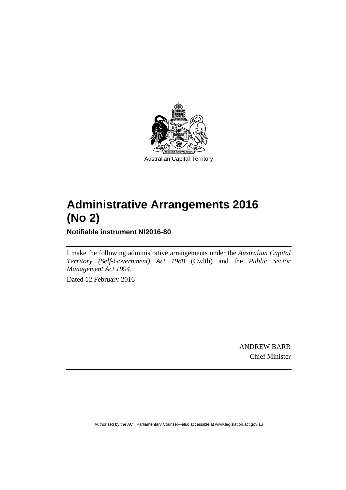

# **Administrative Arrangements 2016 (No 2)**

**Notifiable instrument NI2016-80** 

I make the following administrative arrangements under the *Australian Capital Territory (Self-Government) Act 1988* (Cwlth) and the *Public Sector Management Act 1994*.

Dated 12 February 2016

ANDREW BARR Chief Minister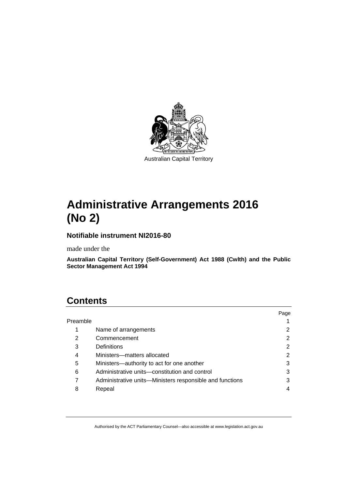

# **Administrative Arrangements 2016 (No 2)**

#### **Notifiable instrument NI2016-80**

made under the

**Australian Capital Territory (Self-Government) Act 1988 (Cwlth) and the Public Sector Management Act 1994** 

## **Contents**

|          |                                                          | Page |
|----------|----------------------------------------------------------|------|
| Preamble |                                                          |      |
| 1        | Name of arrangements                                     |      |
| 2        | Commencement                                             | 2    |
| 3        | Definitions                                              | 2    |
| 4        | Ministers-matters allocated                              | 2    |
| 5        | Ministers—authority to act for one another               | 3    |
| 6        | Administrative units-constitution and control            | 3    |
|          | Administrative units—Ministers responsible and functions | 3    |
| 8        | Repeal                                                   |      |
|          |                                                          |      |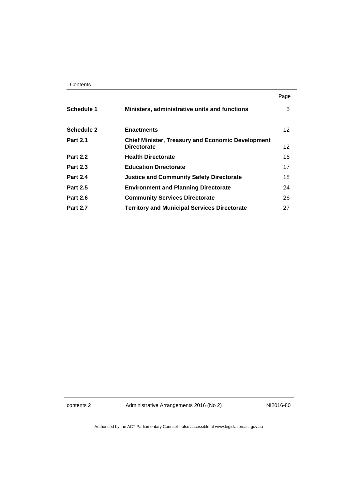|                   |                                                                                | Page            |
|-------------------|--------------------------------------------------------------------------------|-----------------|
| <b>Schedule 1</b> | Ministers, administrative units and functions                                  | 5               |
| <b>Schedule 2</b> | <b>Enactments</b>                                                              | 12 <sup>°</sup> |
| <b>Part 2.1</b>   | <b>Chief Minister, Treasury and Economic Development</b><br><b>Directorate</b> | 12              |
| <b>Part 2.2</b>   | <b>Health Directorate</b>                                                      | 16              |
| <b>Part 2.3</b>   | <b>Education Directorate</b>                                                   | 17              |
| <b>Part 2.4</b>   | <b>Justice and Community Safety Directorate</b>                                | 18              |
| <b>Part 2.5</b>   | <b>Environment and Planning Directorate</b>                                    | 24              |
| <b>Part 2.6</b>   | <b>Community Services Directorate</b>                                          | 26              |
| <b>Part 2.7</b>   | <b>Territory and Municipal Services Directorate</b>                            | 27              |

contents 2 Administrative Arrangements 2016 (No 2) NI2016-80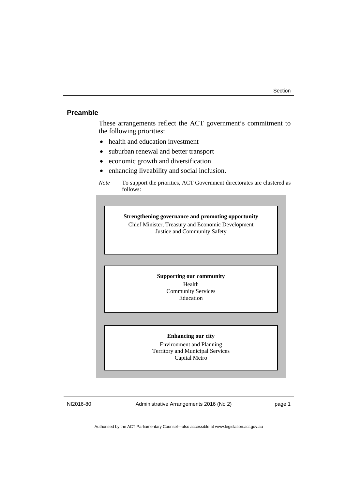#### <span id="page-4-0"></span>**Preamble**

These arrangements reflect the ACT government's commitment to the following priorities:

- health and education investment
- suburban renewal and better transport
- economic growth and diversification
- enhancing liveability and social inclusion.

**Strengthening governance and promoting opportunity**  Chief Minister, Treasury and Economic Development Justice and Community Safety

#### **Supporting our community**

Health Community Services Education

#### **Enhancing our city**

Environment and Planning Territory and Municipal Services Capital Metro

NI2016-80 Administrative Arrangements 2016 (No 2) page 1

*Note* To support the priorities, ACT Government directorates are clustered as follows: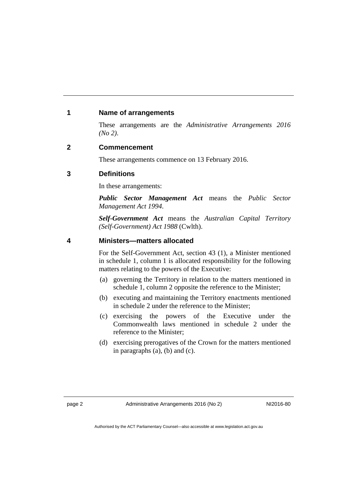#### <span id="page-5-0"></span>**1 Name of arrangements**

These arrangements are the *Administrative Arrangements 2016 (No 2)*.

#### <span id="page-5-1"></span>**2 Commencement**

These arrangements commence on 13 February 2016.

#### <span id="page-5-2"></span>**3 Definitions**

In these arrangements:

*Public Sector Management Act* means the *Public Sector Management Act 1994*.

*Self-Government Act* means the *Australian Capital Territory (Self-Government) Act 1988* (Cwlth).

#### <span id="page-5-3"></span>**4 Ministers—matters allocated**

For the Self-Government Act, section 43 (1), a Minister mentioned in schedule 1, column 1 is allocated responsibility for the following matters relating to the powers of the Executive:

- (a) governing the Territory in relation to the matters mentioned in schedule 1, column 2 opposite the reference to the Minister;
- (b) executing and maintaining the Territory enactments mentioned in schedule 2 under the reference to the Minister;
- (c) exercising the powers of the Executive under the Commonwealth laws mentioned in schedule 2 under the reference to the Minister;
- (d) exercising prerogatives of the Crown for the matters mentioned in paragraphs (a), (b) and (c).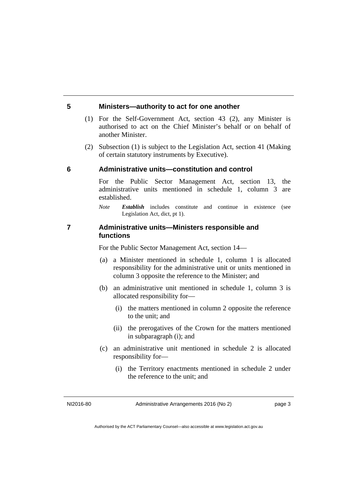#### <span id="page-6-0"></span>**5 Ministers—authority to act for one another**

- (1) For the Self-Government Act, section 43 (2), any Minister is authorised to act on the Chief Minister's behalf or on behalf of another Minister.
- (2) Subsection (1) is subject to the Legislation Act, section 41 (Making of certain statutory instruments by Executive).

#### <span id="page-6-1"></span>**6 Administrative units—constitution and control**

For the Public Sector Management Act, section 13, the administrative units mentioned in schedule 1, column 3 are established.

*Note Establish* includes constitute and continue in existence (see Legislation Act, dict, pt 1).

#### <span id="page-6-2"></span>**7 Administrative units—Ministers responsible and functions**

For the Public Sector Management Act, section 14—

- (a) a Minister mentioned in schedule 1, column 1 is allocated responsibility for the administrative unit or units mentioned in column 3 opposite the reference to the Minister; and
- (b) an administrative unit mentioned in schedule 1, column 3 is allocated responsibility for—
	- (i) the matters mentioned in column 2 opposite the reference to the unit; and
	- (ii) the prerogatives of the Crown for the matters mentioned in subparagraph (i); and
- (c) an administrative unit mentioned in schedule 2 is allocated responsibility for—
	- (i) the Territory enactments mentioned in schedule 2 under the reference to the unit; and

NI2016-80 Administrative Arrangements 2016 (No 2) page 3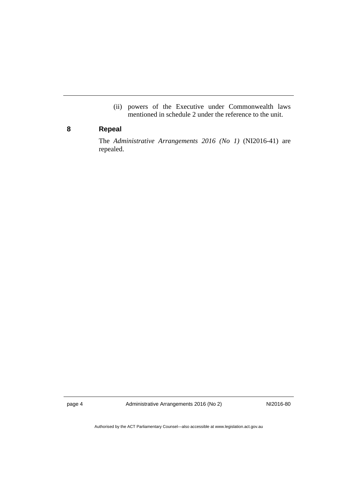(ii) powers of the Executive under Commonwealth laws mentioned in schedule 2 under the reference to the unit.

### <span id="page-7-0"></span>**8 Repeal**

The *Administrative Arrangements 2016 (No 1)* (NI2016-41) are repealed.

page 4 Administrative Arrangements 2016 (No 2) NI2016-80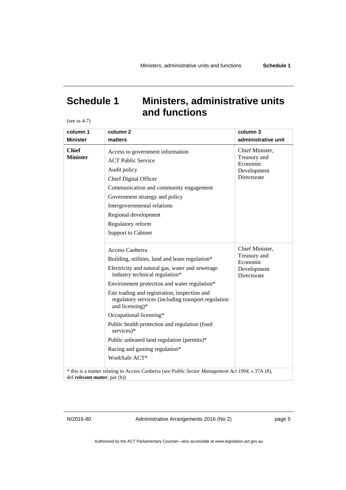## <span id="page-8-0"></span>**Schedule 1 Ministers, administrative units and functions**

(see ss 4-7)

| column 1                              | column <sub>2</sub>                                                                                                                                                                                                                                                                                                                                                                                                                                                                                                          | column 3                                                                  |
|---------------------------------------|------------------------------------------------------------------------------------------------------------------------------------------------------------------------------------------------------------------------------------------------------------------------------------------------------------------------------------------------------------------------------------------------------------------------------------------------------------------------------------------------------------------------------|---------------------------------------------------------------------------|
| <b>Minister</b>                       | matters                                                                                                                                                                                                                                                                                                                                                                                                                                                                                                                      | administrative unit                                                       |
| <b>Chief</b><br><b>Minister</b>       | Access to government information<br><b>ACT Public Service</b><br>Audit policy<br>Chief Digital Officer<br>Communication and community engagement<br>Government strategy and policy<br>Intergovernmental relations<br>Regional development<br>Regulatory reform<br><b>Support to Cabinet</b>                                                                                                                                                                                                                                  | Chief Minister,<br>Treasury and<br>Economic<br>Development<br>Directorate |
|                                       | Access Canberra<br>Building, utilities, land and lease regulation*<br>Electricity and natural gas, water and sewerage<br>industry technical regulation*<br>Environment protection and water regulation*<br>Fair trading and registration, inspection and<br>regulatory services (including transport regulation<br>and licensing)*<br>Occupational licensing*<br>Public health protection and regulation (food<br>services)*<br>Public unleased land regulation (permits)*<br>Racing and gaming regulation*<br>WorkSafe ACT* | Chief Minister,<br>Treasury and<br>Economic<br>Development<br>Directorate |
| def <i>relevant matter</i> , par (b)) | * this is a matter relating to Access Canberra (see Public Sector Management Act 1994, s 37A (8),                                                                                                                                                                                                                                                                                                                                                                                                                            |                                                                           |

NI2016-80 Administrative Arrangements 2016 (No 2) page 5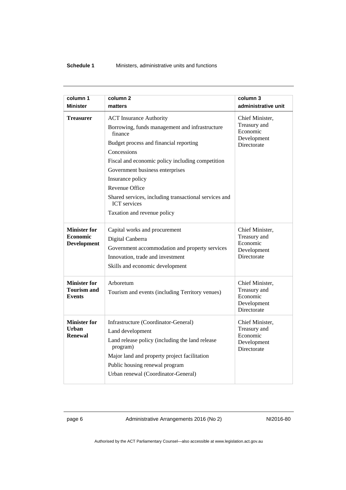| column 1<br><b>Minister</b>                                  | column <sub>2</sub><br>matters                                                                                                                                                                                                                                                                                                                                                                   | column 3<br>administrative unit                                           |
|--------------------------------------------------------------|--------------------------------------------------------------------------------------------------------------------------------------------------------------------------------------------------------------------------------------------------------------------------------------------------------------------------------------------------------------------------------------------------|---------------------------------------------------------------------------|
| <b>Treasurer</b>                                             | <b>ACT</b> Insurance Authority<br>Borrowing, funds management and infrastructure<br>finance<br>Budget process and financial reporting<br>Concessions<br>Fiscal and economic policy including competition<br>Government business enterprises<br>Insurance policy<br>Revenue Office<br>Shared services, including transactional services and<br><b>ICT</b> services<br>Taxation and revenue policy | Chief Minister,<br>Treasury and<br>Economic<br>Development<br>Directorate |
| <b>Minister for</b><br><b>Economic</b><br><b>Development</b> | Capital works and procurement<br>Digital Canberra<br>Government accommodation and property services<br>Innovation, trade and investment<br>Skills and economic development                                                                                                                                                                                                                       | Chief Minister,<br>Treasury and<br>Economic<br>Development<br>Directorate |
| <b>Minister for</b><br><b>Tourism and</b><br><b>Events</b>   | Arboretum<br>Tourism and events (including Territory venues)                                                                                                                                                                                                                                                                                                                                     | Chief Minister,<br>Treasury and<br>Economic<br>Development<br>Directorate |
| <b>Minister for</b><br>Urban<br><b>Renewal</b>               | Infrastructure (Coordinator-General)<br>Land development<br>Land release policy (including the land release<br>program)<br>Major land and property project facilitation<br>Public housing renewal program<br>Urban renewal (Coordinator-General)                                                                                                                                                 | Chief Minister,<br>Treasury and<br>Economic<br>Development<br>Directorate |

page 6 Administrative Arrangements 2016 (No 2) NI2016-80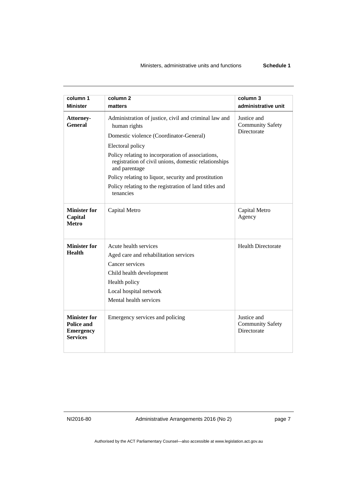| column 1<br><b>Minister</b>                                              | column <sub>2</sub>                                                                                                        | column 3                                              |
|--------------------------------------------------------------------------|----------------------------------------------------------------------------------------------------------------------------|-------------------------------------------------------|
|                                                                          | matters                                                                                                                    | administrative unit                                   |
| Attorney-<br>General                                                     | Administration of justice, civil and criminal law and<br>human rights                                                      | Justice and<br><b>Community Safety</b><br>Directorate |
|                                                                          | Domestic violence (Coordinator-General)                                                                                    |                                                       |
|                                                                          | Electoral policy                                                                                                           |                                                       |
|                                                                          | Policy relating to incorporation of associations,<br>registration of civil unions, domestic relationships<br>and parentage |                                                       |
|                                                                          | Policy relating to liquor, security and prostitution                                                                       |                                                       |
|                                                                          | Policy relating to the registration of land titles and<br>tenancies                                                        |                                                       |
| <b>Minister for</b><br>Capital<br><b>Metro</b>                           | Capital Metro                                                                                                              | Capital Metro<br>Agency                               |
| <b>Minister for</b>                                                      | Acute health services                                                                                                      | <b>Health Directorate</b>                             |
| <b>Health</b>                                                            | Aged care and rehabilitation services                                                                                      |                                                       |
|                                                                          | Cancer services                                                                                                            |                                                       |
|                                                                          | Child health development                                                                                                   |                                                       |
|                                                                          | Health policy                                                                                                              |                                                       |
|                                                                          | Local hospital network                                                                                                     |                                                       |
|                                                                          | Mental health services                                                                                                     |                                                       |
| <b>Minister for</b><br>Police and<br><b>Emergency</b><br><b>Services</b> | Emergency services and policing                                                                                            | Justice and<br><b>Community Safety</b><br>Directorate |

NI2016-80 Administrative Arrangements 2016 (No 2) page 7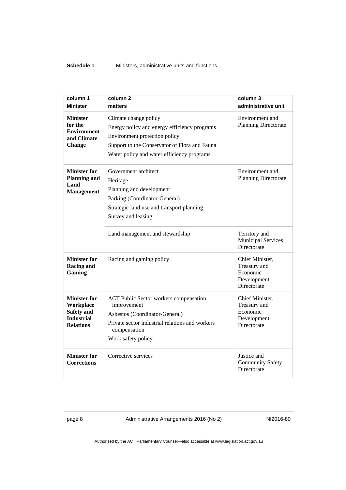#### **Schedule 1** Ministers, administrative units and functions

| column 1                                                                                       | column <sub>2</sub>                                                                                                                                                                                   | column 3                                                                         |
|------------------------------------------------------------------------------------------------|-------------------------------------------------------------------------------------------------------------------------------------------------------------------------------------------------------|----------------------------------------------------------------------------------|
| <b>Minister</b>                                                                                | matters                                                                                                                                                                                               | administrative unit                                                              |
| <b>Minister</b><br>for the<br><b>Environment</b><br>and Climate<br><b>Change</b>               | Climate change policy<br>Energy policy and energy efficiency programs<br>Environment protection policy<br>Support to the Conservator of Flora and Fauna<br>Water policy and water efficiency programs | Environment and<br><b>Planning Directorate</b>                                   |
| <b>Minister for</b><br><b>Planning and</b><br>Land<br><b>Management</b>                        | Government architect<br>Heritage<br>Planning and development<br>Parking (Coordinator-General)<br>Strategic land use and transport planning<br>Survey and leasing                                      | Environment and<br><b>Planning Directorate</b>                                   |
|                                                                                                | Land management and stewardship                                                                                                                                                                       | Territory and<br><b>Municipal Services</b><br>Directorate                        |
| <b>Minister for</b><br><b>Racing and</b><br>Gaming                                             | Racing and gaming policy                                                                                                                                                                              | Chief Minister,<br>Treasury and<br>Economic<br>Development<br>Directorate        |
| <b>Minister for</b><br>Workplace<br><b>Safety and</b><br><b>Industrial</b><br><b>Relations</b> | <b>ACT Public Sector workers compensation</b><br>improvement<br>Asbestos (Coordinator-General)<br>Private sector industrial relations and workers<br>compensation<br>Work safety policy               | Chief Minister,<br>Treasury and<br>Economic<br>Development<br><b>Directorate</b> |
| <b>Minister for</b><br><b>Corrections</b>                                                      | Corrective services                                                                                                                                                                                   | Justice and<br><b>Community Safety</b><br>Directorate                            |

page 8 Administrative Arrangements 2016 (No 2) NI2016-80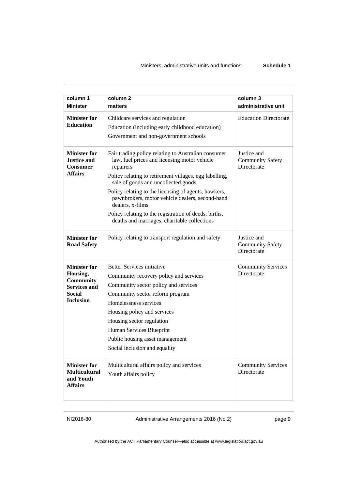| column 1<br><b>Minister</b>                                                                                     | column 2<br>matters                                                                                                                                                                                                                                                                                                                                                                                                                                       | column 3<br>administrative unit                       |
|-----------------------------------------------------------------------------------------------------------------|-----------------------------------------------------------------------------------------------------------------------------------------------------------------------------------------------------------------------------------------------------------------------------------------------------------------------------------------------------------------------------------------------------------------------------------------------------------|-------------------------------------------------------|
| <b>Minister for</b><br><b>Education</b>                                                                         | Childcare services and regulation<br>Education (including early childhood education)<br>Government and non-government schools                                                                                                                                                                                                                                                                                                                             | <b>Education Directorate</b>                          |
| <b>Minister for</b><br><b>Justice and</b><br><b>Consumer</b><br><b>Affairs</b>                                  | Fair trading policy relating to Australian consumer<br>law, fuel prices and licensing motor vehicle<br>repairers<br>Policy relating to retirement villages, egg labelling,<br>sale of goods and uncollected goods<br>Policy relating to the licensing of agents, hawkers,<br>pawnbrokers, motor vehicle dealers, second-hand<br>dealers, x-films<br>Policy relating to the registration of deeds, births,<br>deaths and marriages, charitable collections | Justice and<br><b>Community Safety</b><br>Directorate |
| <b>Minister for</b><br><b>Road Safety</b>                                                                       | Policy relating to transport regulation and safety                                                                                                                                                                                                                                                                                                                                                                                                        | Justice and<br><b>Community Safety</b><br>Directorate |
| <b>Minister for</b><br>Housing,<br><b>Community</b><br><b>Services and</b><br><b>Social</b><br><b>Inclusion</b> | <b>Better Services initiative</b><br>Community recovery policy and services<br>Community sector policy and services<br>Community sector reform program<br>Homelessness services<br>Housing policy and services<br>Housing sector regulation<br>Human Services Blueprint<br>Public housing asset management<br>Social inclusion and equality                                                                                                               | <b>Community Services</b><br>Directorate              |
| <b>Minister for</b><br><b>Multicultural</b><br>and Youth<br><b>Affairs</b>                                      | Multicultural affairs policy and services<br>Youth affairs policy                                                                                                                                                                                                                                                                                                                                                                                         | <b>Community Services</b><br>Directorate              |

NI2016-80 Administrative Arrangements 2016 (No 2) page 9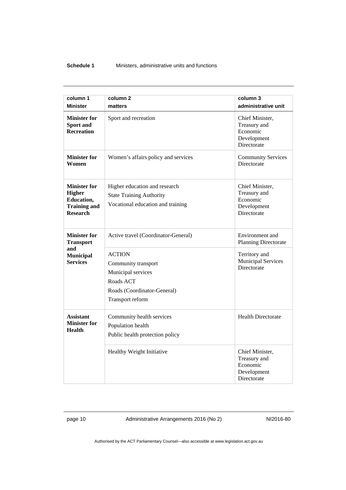#### **Schedule 1** Ministers, administrative units and functions

| column 1<br><b>Minister</b>                                                           | column <sub>2</sub><br>matters                                                                                             | column 3<br>administrative unit                                           |
|---------------------------------------------------------------------------------------|----------------------------------------------------------------------------------------------------------------------------|---------------------------------------------------------------------------|
| <b>Minister for</b><br>Sport and<br><b>Recreation</b>                                 | Sport and recreation                                                                                                       | Chief Minister,<br>Treasury and<br>Economic<br>Development<br>Directorate |
| <b>Minister for</b><br>Women                                                          | Women's affairs policy and services                                                                                        | <b>Community Services</b><br><b>Directorate</b>                           |
| <b>Minister for</b><br>Higher<br>Education,<br><b>Training and</b><br><b>Research</b> | Higher education and research<br><b>State Training Authority</b><br>Vocational education and training                      | Chief Minister,<br>Treasury and<br>Economic<br>Development<br>Directorate |
| <b>Minister for</b><br><b>Transport</b>                                               | Active travel (Coordinator-General)                                                                                        | Environment and<br><b>Planning Directorate</b>                            |
| and<br><b>Municipal</b><br><b>Services</b>                                            | <b>ACTION</b><br>Community transport<br>Municipal services<br>Roads ACT<br>Roads (Coordinator-General)<br>Transport reform | Territory and<br><b>Municipal Services</b><br><b>Directorate</b>          |
| <b>Assistant</b><br><b>Minister for</b><br>Health                                     | Community health services<br>Population health<br>Public health protection policy                                          | <b>Health Directorate</b>                                                 |
|                                                                                       | Healthy Weight Initiative                                                                                                  | Chief Minister,<br>Treasury and<br>Economic<br>Development<br>Directorate |

page 10 Administrative Arrangements 2016 (No 2) NI2016-80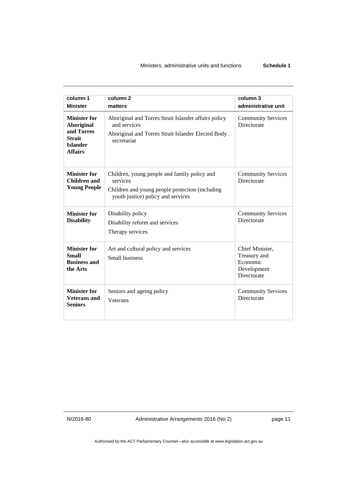| column 1<br><b>Minister</b>                                                                                  | column <sub>2</sub><br>matters                                                                                                                    | column 3<br>administrative unit                                           |
|--------------------------------------------------------------------------------------------------------------|---------------------------------------------------------------------------------------------------------------------------------------------------|---------------------------------------------------------------------------|
| <b>Minister for</b><br><b>Aboriginal</b><br>and Torres<br><b>Strait</b><br><b>Islander</b><br><b>Affairs</b> | Aboriginal and Torres Strait Islander affairs policy<br>and services<br>Aboriginal and Torres Strait Islander Elected Body<br>secretariat         | <b>Community Services</b><br>Directorate                                  |
| <b>Minister for</b><br>Children and<br><b>Young People</b>                                                   | Children, young people and family policy and<br>services<br>Children and young people protection (including<br>youth justice) policy and services | <b>Community Services</b><br>Directorate                                  |
| <b>Minister for</b><br><b>Disability</b>                                                                     | Disability policy<br>Disability reform and services<br>Therapy services                                                                           | <b>Community Services</b><br>Directorate                                  |
| <b>Minister for</b><br><b>Small</b><br><b>Business and</b><br>the Arts                                       | Art and cultural policy and services<br>Small business                                                                                            | Chief Minister,<br>Treasury and<br>Economic<br>Development<br>Directorate |
| <b>Minister for</b><br><b>Veterans</b> and<br><b>Seniors</b>                                                 | Seniors and ageing policy<br>Veterans                                                                                                             | <b>Community Services</b><br>Directorate                                  |

NI2016-80 Administrative Arrangements 2016 (No 2) page 11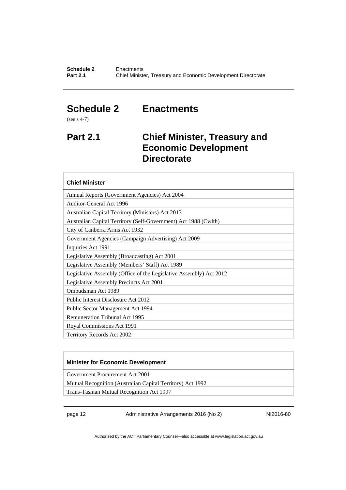### <span id="page-15-0"></span>**Schedule 2 Enactments**

(see s 4-7)

### <span id="page-15-1"></span>**Part 2.1 Chief Minister, Treasury and Economic Development Directorate**

#### **Chief Minister**

Annual Reports (Government Agencies) Act 2004

Auditor-General Act 1996

Australian Capital Territory (Ministers) Act 2013 Australian Capital Territory (Self-Government) Act 1988 (Cwlth)

City of Canberra Arms Act 1932

Government Agencies (Campaign Advertising) Act 2009

Inquiries Act 1991 Legislative Assembly (Broadcasting) Act 2001

Legislative Assembly (Members' Staff) Act 1989

Legislative Assembly (Office of the Legislative Assembly) Act 2012

Legislative Assembly Precincts Act 2001

Ombudsman Act 1989

Public Interest Disclosure Act 2012

Public Sector Management Act 1994

Remuneration Tribunal Act 1995

Royal Commissions Act 1991

Territory Records Act 2002

#### **Minister for Economic Development**

Government Procurement Act 2001

Mutual Recognition (Australian Capital Territory) Act 1992

Trans-Tasman Mutual Recognition Act 1997

page 12 Administrative Arrangements 2016 (No 2) NI2016-80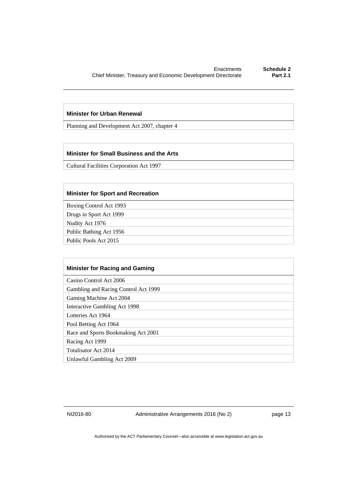#### **Minister for Urban Renewal**

Planning and Development Act 2007, chapter 4

#### **Minister for Small Business and the Arts**

Cultural Facilities Corporation Act 1997

#### **Minister for Sport and Recreation**

Boxing Control Act 1993

Drugs in Sport Act 1999

Nudity Act 1976

Public Bathing Act 1956

Public Pools Act 2015

| <b>Minister for Racing and Gaming</b> |
|---------------------------------------|
| Casino Control Act 2006               |
| Gambling and Racing Control Act 1999  |
| Gaming Machine Act 2004               |
| Interactive Gambling Act 1998         |
| Lotteries Act 1964                    |
| Pool Betting Act 1964                 |
| Race and Sports Bookmaking Act 2001   |
| Racing Act 1999                       |
| Totalisator Act 2014                  |
| Unlawful Gambling Act 2009            |

NI2016-80 Administrative Arrangements 2016 (No 2) Page 13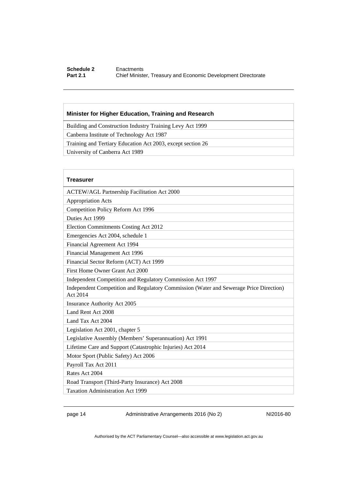#### **Schedule 2 Enactments**<br>**Part 2.1 Chief Minister Part 2.1** Chief Minister, Treasury and Economic Development Directorate

#### **Minister for Higher Education, Training and Research**

Building and Construction Industry Training Levy Act 1999

Canberra Institute of Technology Act 1987

Training and Tertiary Education Act 2003, except section 26

University of Canberra Act 1989

| <b>Treasurer</b>                                                                                   |
|----------------------------------------------------------------------------------------------------|
| <b>ACTEW/AGL Partnership Facilitation Act 2000</b>                                                 |
| <b>Appropriation Acts</b>                                                                          |
| Competition Policy Reform Act 1996                                                                 |
| Duties Act 1999                                                                                    |
| Election Commitments Costing Act 2012                                                              |
| Emergencies Act 2004, schedule 1                                                                   |
| Financial Agreement Act 1994                                                                       |
| Financial Management Act 1996                                                                      |
| Financial Sector Reform (ACT) Act 1999                                                             |
| First Home Owner Grant Act 2000                                                                    |
| Independent Competition and Regulatory Commission Act 1997                                         |
| Independent Competition and Regulatory Commission (Water and Sewerage Price Direction)<br>Act 2014 |
| Insurance Authority Act 2005                                                                       |
| Land Rent Act 2008                                                                                 |
| Land Tax Act 2004                                                                                  |
| Legislation Act 2001, chapter 5                                                                    |
| Legislative Assembly (Members' Superannuation) Act 1991                                            |
| Lifetime Care and Support (Catastrophic Injuries) Act 2014                                         |
| Motor Sport (Public Safety) Act 2006                                                               |
| Payroll Tax Act 2011                                                                               |
| Rates Act 2004                                                                                     |
| Road Transport (Third-Party Insurance) Act 2008                                                    |
| <b>Taxation Administration Act 1999</b>                                                            |

page 14 Administrative Arrangements 2016 (No 2) NI2016-80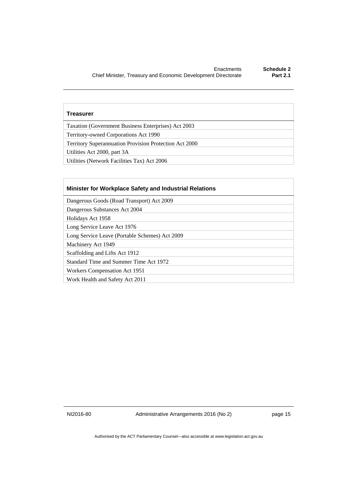#### **Treasurer**

Taxation (Government Business Enterprises) Act 2003

Territory-owned Corporations Act 1990

Territory Superannuation Provision Protection Act 2000

Utilities Act 2000, part 3A

Utilities (Network Facilities Tax) Act 2006

#### **Minister for Workplace Safety and Industrial Relations**

Dangerous Goods (Road Transport) Act 2009

Dangerous Substances Act 2004

Holidays Act 1958

Long Service Leave Act 1976

Long Service Leave (Portable Schemes) Act 2009

Machinery Act 1949

Scaffolding and Lifts Act 1912

Standard Time and Summer Time Act 1972

Workers Compensation Act 1951

Work Health and Safety Act 2011

NI2016-80 Administrative Arrangements 2016 (No 2) page 15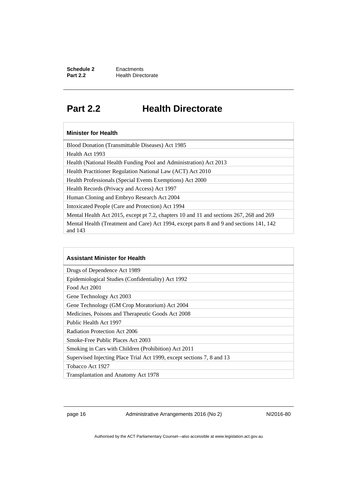### <span id="page-19-0"></span>**Part 2.2 Health Directorate**

#### **Minister for Health**

Blood Donation (Transmittable Diseases) Act 1985

Health Act 1993

Health (National Health Funding Pool and Administration) Act 2013

Health Practitioner Regulation National Law (ACT) Act 2010

Health Professionals (Special Events Exemptions) Act 2000

Health Records (Privacy and Access) Act 1997

Human Cloning and Embryo Research Act 2004

Intoxicated People (Care and Protection) Act 1994

Mental Health Act 2015, except pt 7.2, chapters 10 and 11 and sections 267, 268 and 269 Mental Health (Treatment and Care) Act 1994, except parts 8 and 9 and sections 141, 142 and 143

| <b>Assistant Minister for Health</b>                                   |
|------------------------------------------------------------------------|
| Drugs of Dependence Act 1989                                           |
| Epidemiological Studies (Confidentiality) Act 1992                     |
| Food Act 2001                                                          |
| Gene Technology Act 2003                                               |
| Gene Technology (GM Crop Moratorium) Act 2004                          |
| Medicines, Poisons and Therapeutic Goods Act 2008                      |
| Public Health Act 1997                                                 |
| Radiation Protection Act 2006                                          |
| Smoke-Free Public Places Act 2003                                      |
| Smoking in Cars with Children (Prohibition) Act 2011                   |
| Supervised Injecting Place Trial Act 1999, except sections 7, 8 and 13 |
| Tobacco Act 1927                                                       |
| Transplantation and Anatomy Act 1978                                   |

page 16 Administrative Arrangements 2016 (No 2) NI2016-80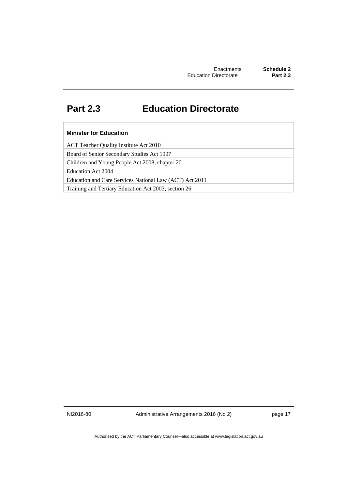### <span id="page-20-0"></span>**Part 2.3 Education Directorate**

#### **Minister for Education**

ACT Teacher Quality Institute Act 2010

Board of Senior Secondary Studies Act 1997

Children and Young People Act 2008, chapter 20

Education Act 2004

Education and Care Services National Law (ACT) Act 2011

Training and Tertiary Education Act 2003, section 26

NI2016-80 Administrative Arrangements 2016 (No 2) page 17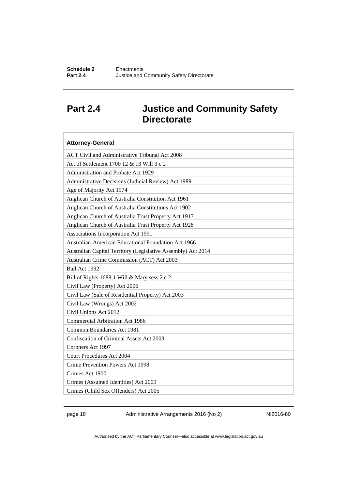### <span id="page-21-0"></span>**Part 2.4 Justice and Community Safety Directorate**

| <b>Attorney-General</b>                                      |
|--------------------------------------------------------------|
| ACT Civil and Administrative Tribunal Act 2008               |
| Act of Settlement 1700 12 & 13 Will 3 c 2                    |
| Administration and Probate Act 1929                          |
| Administrative Decisions (Judicial Review) Act 1989          |
| Age of Majority Act 1974                                     |
| Anglican Church of Australia Constitution Act 1961           |
| Anglican Church of Australia Constitutions Act 1902          |
| Anglican Church of Australia Trust Property Act 1917         |
| Anglican Church of Australia Trust Property Act 1928         |
| Associations Incorporation Act 1991                          |
| Australian-American Educational Foundation Act 1966          |
| Australian Capital Territory (Legislative Assembly) Act 2014 |
| Australian Crime Commission (ACT) Act 2003                   |
| Bail Act 1992                                                |
| Bill of Rights 1688 1 Will & Mary sess 2 c 2                 |
| Civil Law (Property) Act 2006                                |
| Civil Law (Sale of Residential Property) Act 2003            |
| Civil Law (Wrongs) Act 2002                                  |
| Civil Unions Act 2012                                        |
| <b>Commercial Arbitration Act 1986</b>                       |
| Common Boundaries Act 1981                                   |
| Confiscation of Criminal Assets Act 2003                     |
| Coroners Act 1997                                            |
| <b>Court Procedures Act 2004</b>                             |
| Crime Prevention Powers Act 1998                             |
| Crimes Act 1900                                              |
| Crimes (Assumed Identities) Act 2009                         |
| Crimes (Child Sex Offenders) Act 2005                        |

page 18 Administrative Arrangements 2016 (No 2) NI2016-80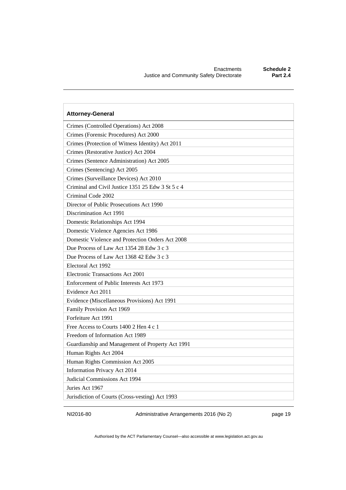| <b>Attorney-General</b>                           |
|---------------------------------------------------|
| Crimes (Controlled Operations) Act 2008           |
| Crimes (Forensic Procedures) Act 2000             |
| Crimes (Protection of Witness Identity) Act 2011  |
| Crimes (Restorative Justice) Act 2004             |
| Crimes (Sentence Administration) Act 2005         |
| Crimes (Sentencing) Act 2005                      |
| Crimes (Surveillance Devices) Act 2010            |
| Criminal and Civil Justice 1351 25 Edw 3 St 5 c 4 |
| Criminal Code 2002                                |
| Director of Public Prosecutions Act 1990          |
| Discrimination Act 1991                           |
| Domestic Relationships Act 1994                   |
| Domestic Violence Agencies Act 1986               |
| Domestic Violence and Protection Orders Act 2008  |
| Due Process of Law Act 1354 28 Edw 3 c 3          |
| Due Process of Law Act 1368 42 Edw 3 c 3          |
| Electoral Act 1992                                |
| Electronic Transactions Act 2001                  |
| Enforcement of Public Interests Act 1973          |
| Evidence Act 2011                                 |
| Evidence (Miscellaneous Provisions) Act 1991      |
| Family Provision Act 1969                         |
| Forfeiture Act 1991                               |
| Free Access to Courts 1400 2 Hen 4 c 1            |
| Freedom of Information Act 1989                   |
| Guardianship and Management of Property Act 1991  |
| Human Rights Act 2004                             |
| Human Rights Commission Act 2005                  |
| Information Privacy Act 2014                      |
| Judicial Commissions Act 1994                     |
| Juries Act 1967                                   |
| Jurisdiction of Courts (Cross-vesting) Act 1993   |

NI2016-80 Administrative Arrangements 2016 (No 2) page 19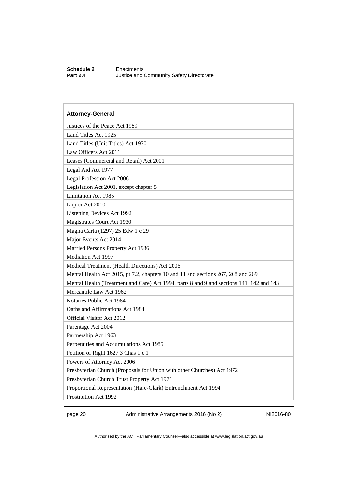#### **Schedule 2** Enactments<br> **Part 2.4** Justice and **Justice and Community Safety Directorate**

### **Attorney-General**  Justices of the Peace Act 1989 Land Titles Act 1925 Land Titles (Unit Titles) Act 1970 Law Officers Act 2011 Leases (Commercial and Retail) Act 2001 Legal Aid Act 1977 Legal Profession Act 2006 Legislation Act 2001, except chapter 5 Limitation Act 1985 Liquor Act 2010 Listening Devices Act 1992 Magistrates Court Act 1930 Magna Carta (1297) 25 Edw 1 c 29 Major Events Act 2014 Married Persons Property Act 1986 Mediation Act 1997 Medical Treatment (Health Directions) Act 2006 Mental Health Act 2015, pt 7.2, chapters 10 and 11 and sections 267, 268 and 269 Mental Health (Treatment and Care) Act 1994, parts 8 and 9 and sections 141, 142 and 143 Mercantile Law Act 1962 Notaries Public Act 1984 Oaths and Affirmations Act 1984 Official Visitor Act 2012 Parentage Act 2004 Partnership Act 1963 Perpetuities and Accumulations Act 1985 Petition of Right 1627 3 Chas 1 c 1 Powers of Attorney Act 2006 Presbyterian Church (Proposals for Union with other Churches) Act 1972 Presbyterian Church Trust Property Act 1971 Proportional Representation (Hare-Clark) Entrenchment Act 1994 Prostitution Act 1992

page 20 Administrative Arrangements 2016 (No 2) NI2016-80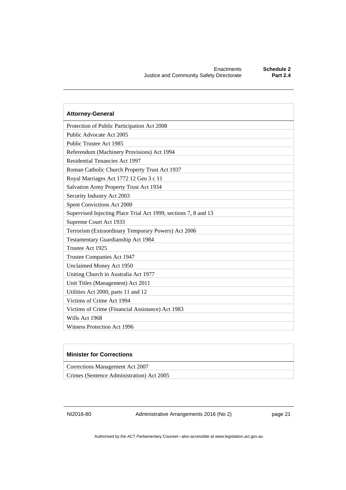| <b>Attorney-General</b>                                         |
|-----------------------------------------------------------------|
| Protection of Public Participation Act 2008                     |
| Public Advocate Act 2005                                        |
| Public Trustee Act 1985                                         |
| Referendum (Machinery Provisions) Act 1994                      |
| Residential Tenancies Act 1997                                  |
| Roman Catholic Church Property Trust Act 1937                   |
| Royal Marriages Act 1772 12 Geo 3 c 11                          |
| Salvation Army Property Trust Act 1934                          |
| Security Industry Act 2003                                      |
| Spent Convictions Act 2000                                      |
| Supervised Injecting Place Trial Act 1999, sections 7, 8 and 13 |
| Supreme Court Act 1933                                          |
| Terrorism (Extraordinary Temporary Powers) Act 2006             |
| Testamentary Guardianship Act 1984                              |
| Trustee Act 1925                                                |
| Trustee Companies Act 1947                                      |
| Unclaimed Money Act 1950                                        |
| Uniting Church in Australia Act 1977                            |
| Unit Titles (Management) Act 2011                               |
| Utilities Act 2000, parts 11 and 12                             |
| Victims of Crime Act 1994                                       |
| Victims of Crime (Financial Assistance) Act 1983                |
| Wills Act 1968                                                  |
| <b>Witness Protection Act 1996</b>                              |

#### **Minister for Corrections**

Corrections Management Act 2007

Crimes (Sentence Administration) Act 2005

NI2016-80 Administrative Arrangements 2016 (No 2) page 21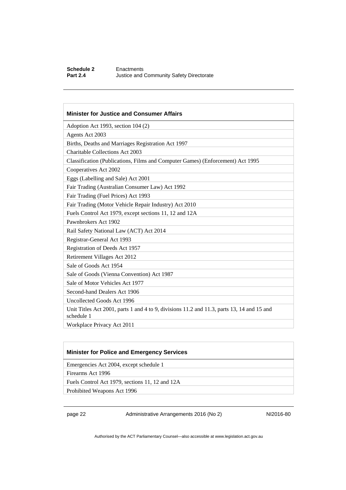#### **Schedule 2** Enactments<br> **Part 2.4** Justice and **Justice and Community Safety Directorate**

#### **Minister for Justice and Consumer Affairs**

Adoption Act 1993, section 104 (2)

Agents Act 2003

Births, Deaths and Marriages Registration Act 1997

Charitable Collections Act 2003

Classification (Publications, Films and Computer Games) (Enforcement) Act 1995

Cooperatives Act 2002

Eggs (Labelling and Sale) Act 2001

Fair Trading (Australian Consumer Law) Act 1992

Fair Trading (Fuel Prices) Act 1993

Fair Trading (Motor Vehicle Repair Industry) Act 2010

Fuels Control Act 1979, except sections 11, 12 and 12A

Pawnbrokers Act 1902

Rail Safety National Law (ACT) Act 2014

Registrar-General Act 1993

Registration of Deeds Act 1957

Retirement Villages Act 2012

Sale of Goods Act 1954

Sale of Goods (Vienna Convention) Act 1987

Sale of Motor Vehicles Act 1977

Second-hand Dealers Act 1906

Uncollected Goods Act 1996

Unit Titles Act 2001, parts 1 and 4 to 9, divisions 11.2 and 11.3, parts 13, 14 and 15 and schedule 1

Workplace Privacy Act 2011

#### **Minister for Police and Emergency Services**

Emergencies Act 2004, except schedule 1

Firearms Act 1996

Fuels Control Act 1979, sections 11, 12 and 12A

Prohibited Weapons Act 1996

page 22 Administrative Arrangements 2016 (No 2) NI2016-80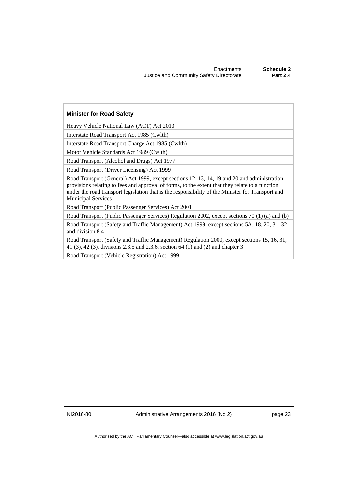#### **Minister for Road Safety**

Heavy Vehicle National Law (ACT) Act 2013

Interstate Road Transport Act 1985 (Cwlth)

Interstate Road Transport Charge Act 1985 (Cwlth)

Motor Vehicle Standards Act 1989 (Cwlth)

Road Transport (Alcohol and Drugs) Act 1977

Road Transport (Driver Licensing) Act 1999

Road Transport (General) Act 1999, except sections 12, 13, 14, 19 and 20 and administration provisions relating to fees and approval of forms, to the extent that they relate to a function under the road transport legislation that is the responsibility of the Minister for Transport and Municipal Services

Road Transport (Public Passenger Services) Act 2001

Road Transport (Public Passenger Services) Regulation 2002, except sections 70 (1) (a) and (b)

Road Transport (Safety and Traffic Management) Act 1999, except sections 5A, 18, 20, 31, 32 and division 8.4

Road Transport (Safety and Traffic Management) Regulation 2000, except sections 15, 16, 31, 41 (3), 42 (3), divisions 2.3.5 and 2.3.6, section 64 (1) and (2) and chapter 3

Road Transport (Vehicle Registration) Act 1999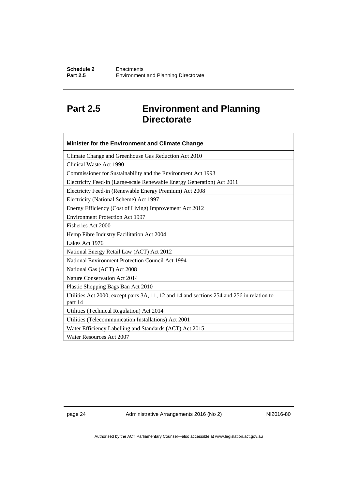## <span id="page-27-0"></span>**Part 2.5 Environment and Planning Directorate**

| Minister for the Environment and Climate Change                                                       |
|-------------------------------------------------------------------------------------------------------|
| Climate Change and Greenhouse Gas Reduction Act 2010                                                  |
| Clinical Waste Act 1990                                                                               |
| Commissioner for Sustainability and the Environment Act 1993                                          |
| Electricity Feed-in (Large-scale Renewable Energy Generation) Act 2011                                |
| Electricity Feed-in (Renewable Energy Premium) Act 2008                                               |
| Electricity (National Scheme) Act 1997                                                                |
| Energy Efficiency (Cost of Living) Improvement Act 2012                                               |
| <b>Environment Protection Act 1997</b>                                                                |
| Fisheries Act 2000                                                                                    |
| Hemp Fibre Industry Facilitation Act 2004                                                             |
| Lakes Act 1976                                                                                        |
| National Energy Retail Law (ACT) Act 2012                                                             |
| National Environment Protection Council Act 1994                                                      |
| National Gas (ACT) Act 2008                                                                           |
| Nature Conservation Act 2014                                                                          |
| Plastic Shopping Bags Ban Act 2010                                                                    |
| Utilities Act 2000, except parts 3A, 11, 12 and 14 and sections 254 and 256 in relation to<br>part 14 |
| Utilities (Technical Regulation) Act 2014                                                             |
| Utilities (Telecommunication Installations) Act 2001                                                  |
| Water Efficiency Labelling and Standards (ACT) Act 2015                                               |
| Water Resources Act 2007                                                                              |

page 24 Administrative Arrangements 2016 (No 2) NI2016-80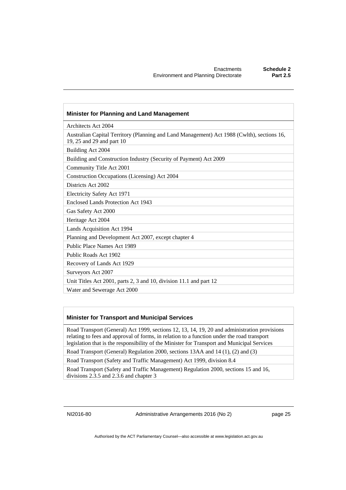| <b>Minister for Planning and Land Management</b>                                                                        |
|-------------------------------------------------------------------------------------------------------------------------|
| Architects Act 2004                                                                                                     |
| Australian Capital Territory (Planning and Land Management) Act 1988 (Cwlth), sections 16,<br>19, 25 and 29 and part 10 |
| Building Act 2004                                                                                                       |
| Building and Construction Industry (Security of Payment) Act 2009                                                       |
| Community Title Act 2001                                                                                                |
| Construction Occupations (Licensing) Act 2004                                                                           |
| Districts Act 2002                                                                                                      |
| Electricity Safety Act 1971                                                                                             |
| Enclosed Lands Protection Act 1943                                                                                      |
| Gas Safety Act 2000                                                                                                     |
| Heritage Act 2004                                                                                                       |
| Lands Acquisition Act 1994                                                                                              |
| Planning and Development Act 2007, except chapter 4                                                                     |
| Public Place Names Act 1989                                                                                             |
| Public Roads Act 1902                                                                                                   |
| Recovery of Lands Act 1929                                                                                              |
| Surveyors Act 2007                                                                                                      |
| Unit Titles Act 2001, parts 2, 3 and 10, division 11.1 and part 12                                                      |
| Water and Sewerage Act 2000                                                                                             |

#### **Minister for Transport and Municipal Services**

Road Transport (General) Act 1999, sections 12, 13, 14, 19, 20 and administration provisions relating to fees and approval of forms, in relation to a function under the road transport legislation that is the responsibility of the Minister for Transport and Municipal Services

Road Transport (General) Regulation 2000, sections 13AA and 14 (1), (2) and (3)

Road Transport (Safety and Traffic Management) Act 1999, division 8.4

Road Transport (Safety and Traffic Management) Regulation 2000, sections 15 and 16, divisions 2.3.5 and 2.3.6 and chapter 3

NI2016-80 Administrative Arrangements 2016 (No 2) page 25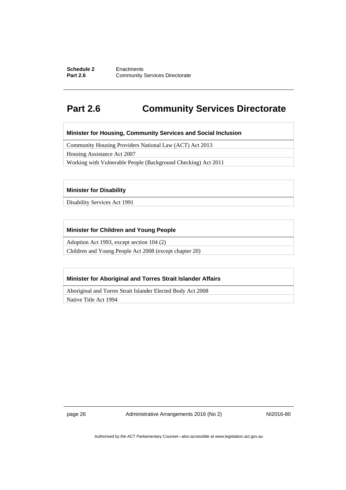#### **Schedule 2 Enactments**<br>**Part 2.6 Community Community Services Directorate**

### <span id="page-29-0"></span>**Part 2.6 Community Services Directorate**

**Minister for Housing, Community Services and Social Inclusion** 

Community Housing Providers National Law (ACT) Act 2013

Housing Assistance Act 2007

Working with Vulnerable People (Background Checking) Act 2011

#### **Minister for Disability**

Disability Services Act 1991

#### **Minister for Children and Young People**

Adoption Act 1993, except section 104 (2)

Children and Young People Act 2008 (except chapter 20)

#### **Minister for Aboriginal and Torres Strait Islander Affairs**

Aboriginal and Torres Strait Islander Elected Body Act 2008

Native Title Act 1994

page 26 Administrative Arrangements 2016 (No 2) NI2016-80